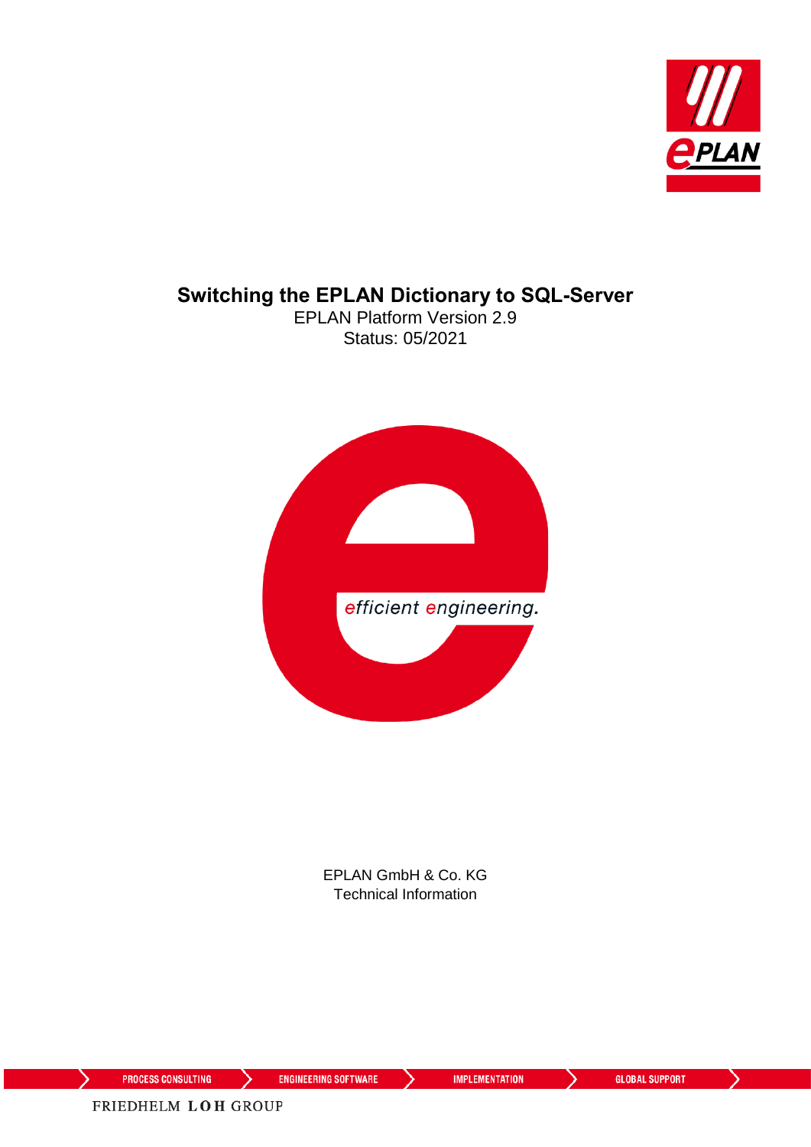

#### **Switching the EPLAN Dictionary to SQL-Server**

EPLAN Platform Version 2.9 Status: 05/2021



EPLAN GmbH & Co. KG Technical Information

⟩

↘

**ENGINEERING SOFTWARE** 

**IMPLEMENTATION** 

ゝ

⋋

FRIEDHELM LOH GROUP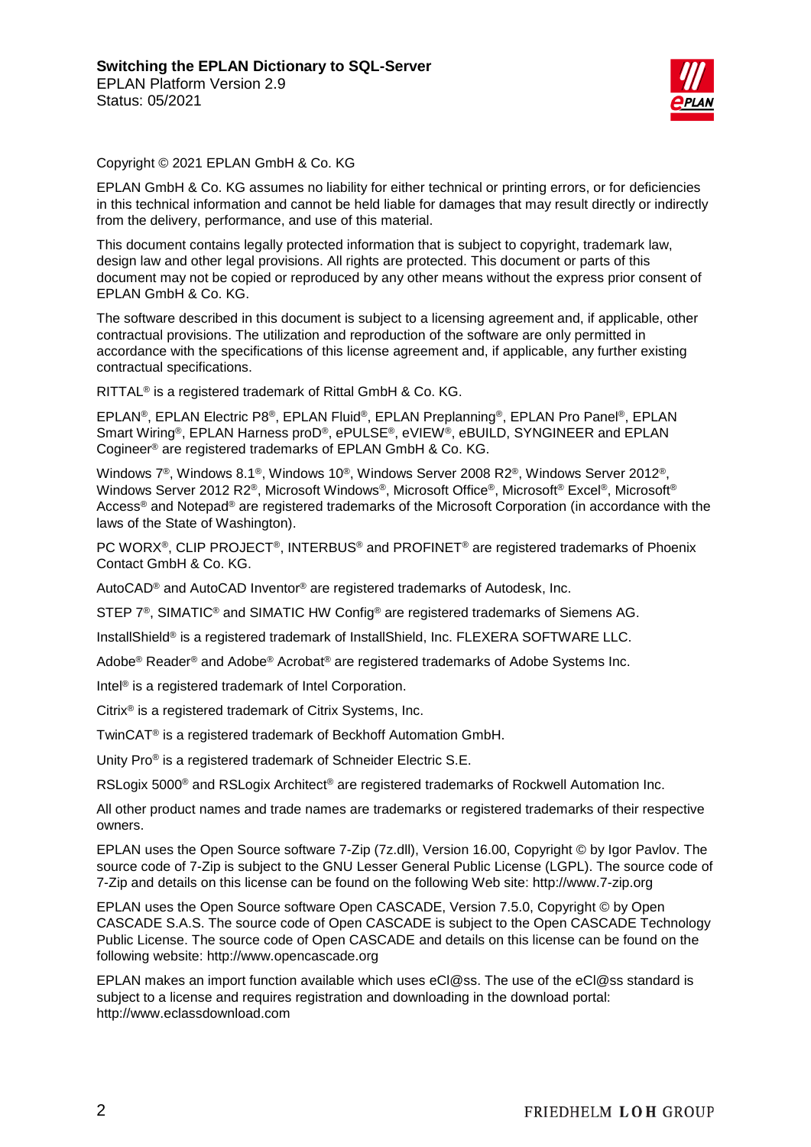

Copyright © 2021 EPLAN GmbH & Co. KG

EPLAN GmbH & Co. KG assumes no liability for either technical or printing errors, or for deficiencies in this technical information and cannot be held liable for damages that may result directly or indirectly from the delivery, performance, and use of this material.

This document contains legally protected information that is subject to copyright, trademark law, design law and other legal provisions. All rights are protected. This document or parts of this document may not be copied or reproduced by any other means without the express prior consent of EPLAN GmbH & Co. KG.

The software described in this document is subject to a licensing agreement and, if applicable, other contractual provisions. The utilization and reproduction of the software are only permitted in accordance with the specifications of this license agreement and, if applicable, any further existing contractual specifications.

RITTAL® is a registered trademark of Rittal GmbH & Co. KG.

EPLAN®, EPLAN Electric P8®, EPLAN Fluid®, EPLAN Preplanning®, EPLAN Pro Panel®, EPLAN Smart Wiring®, EPLAN Harness proD®, ePULSE®, eVIEW®, eBUILD, SYNGINEER and EPLAN Cogineer® are registered trademarks of EPLAN GmbH & Co. KG.

Windows 7®, Windows 8.1®, Windows 10®, Windows Server 2008 R2®, Windows Server 2012®, Windows Server 2012 R2®, Microsoft Windows®, Microsoft Office®, Microsoft® Excel®, Microsoft® Access<sup>®</sup> and Notepad<sup>®</sup> are registered trademarks of the Microsoft Corporation (in accordance with the laws of the State of Washington).

PC WORX®, CLIP PROJECT®, INTERBUS® and PROFINET® are registered trademarks of Phoenix Contact GmbH & Co. KG.

AutoCAD® and AutoCAD Inventor® are registered trademarks of Autodesk, Inc.

STEP 7<sup>®</sup>, SIMATIC<sup>®</sup> and SIMATIC HW Config<sup>®</sup> are registered trademarks of Siemens AG.

InstallShield<sup>®</sup> is a registered trademark of InstallShield, Inc. FLEXERA SOFTWARE LLC.

Adobe® Reader® and Adobe® Acrobat® are registered trademarks of Adobe Systems Inc.

Intel® is a registered trademark of Intel Corporation.

Citrix® is a registered trademark of Citrix Systems, Inc.

TwinCAT® is a registered trademark of Beckhoff Automation GmbH.

Unity Pro® is a registered trademark of Schneider Electric S.E.

RSLogix 5000<sup>®</sup> and RSLogix Architect<sup>®</sup> are registered trademarks of Rockwell Automation Inc.

All other product names and trade names are trademarks or registered trademarks of their respective owners.

EPLAN uses the Open Source software 7-Zip (7z.dll), Version 16.00, Copyright © by Igor Pavlov. The source code of 7-Zip is subject to the GNU Lesser General Public License (LGPL). The source code of 7-Zip and details on this license can be found on the following Web site: http://www.7-zip.org

EPLAN uses the Open Source software Open CASCADE, Version 7.5.0, Copyright © by Open CASCADE S.A.S. The source code of Open CASCADE is subject to the Open CASCADE Technology Public License. The source code of Open CASCADE and details on this license can be found on the following website: http://www.opencascade.org

EPLAN makes an import function available which uses eCl@ss. The use of the eCl@ss standard is subject to a license and requires registration and downloading in the download portal: http://www.eclassdownload.com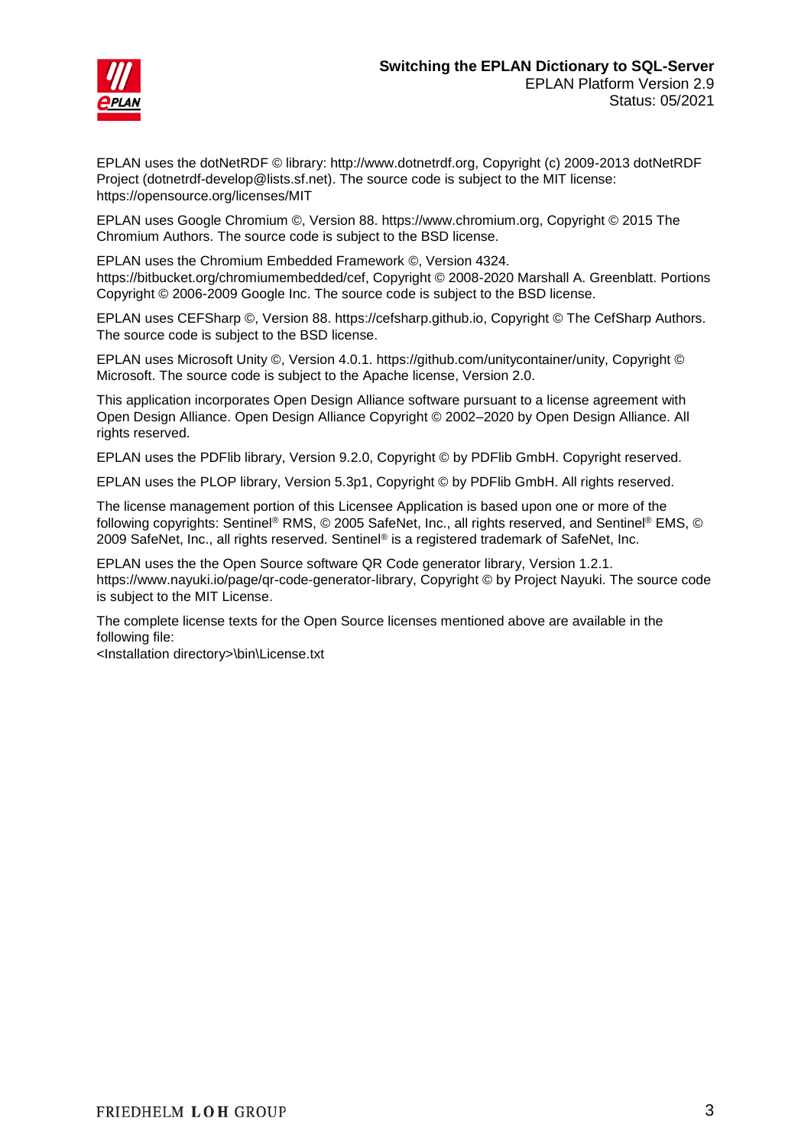



EPLAN uses the dotNetRDF © library: http://www.dotnetrdf.org, Copyright (c) 2009-2013 dotNetRDF Project (dotnetrdf-develop@lists.sf.net). The source code is subject to the MIT license: https://opensource.org/licenses/MIT

EPLAN uses Google Chromium ©, Version 88. https://www.chromium.org, Copyright © 2015 The Chromium Authors. The source code is subject to the BSD license.

EPLAN uses the Chromium Embedded Framework ©, Version 4324. https://bitbucket.org/chromiumembedded/cef, Copyright © 2008-2020 Marshall A. Greenblatt. Portions Copyright © 2006-2009 Google Inc. The source code is subject to the BSD license.

EPLAN uses CEFSharp ©, Version 88. https://cefsharp.github.io, Copyright © The CefSharp Authors. The source code is subject to the BSD license.

EPLAN uses Microsoft Unity ©, Version 4.0.1. https://github.com/unitycontainer/unity, Copyright © Microsoft. The source code is subject to the Apache license, Version 2.0.

This application incorporates Open Design Alliance software pursuant to a license agreement with Open Design Alliance. Open Design Alliance Copyright © 2002–2020 by Open Design Alliance. All rights reserved.

EPLAN uses the PDFlib library, Version 9.2.0, Copyright © by PDFlib GmbH. Copyright reserved.

EPLAN uses the PLOP library, Version 5.3p1, Copyright © by PDFlib GmbH. All rights reserved.

The license management portion of this Licensee Application is based upon one or more of the following copyrights: Sentinel® RMS, © 2005 SafeNet, Inc., all rights reserved, and Sentinel® EMS, © 2009 SafeNet, Inc., all rights reserved. Sentinel® is a registered trademark of SafeNet, Inc.

EPLAN uses the the Open Source software QR Code generator library, Version 1.2.1. https://www.nayuki.io/page/qr-code-generator-library, Copyright © by Project Nayuki. The source code is subject to the MIT License.

The complete license texts for the Open Source licenses mentioned above are available in the following file:

<Installation directory>\bin\License.txt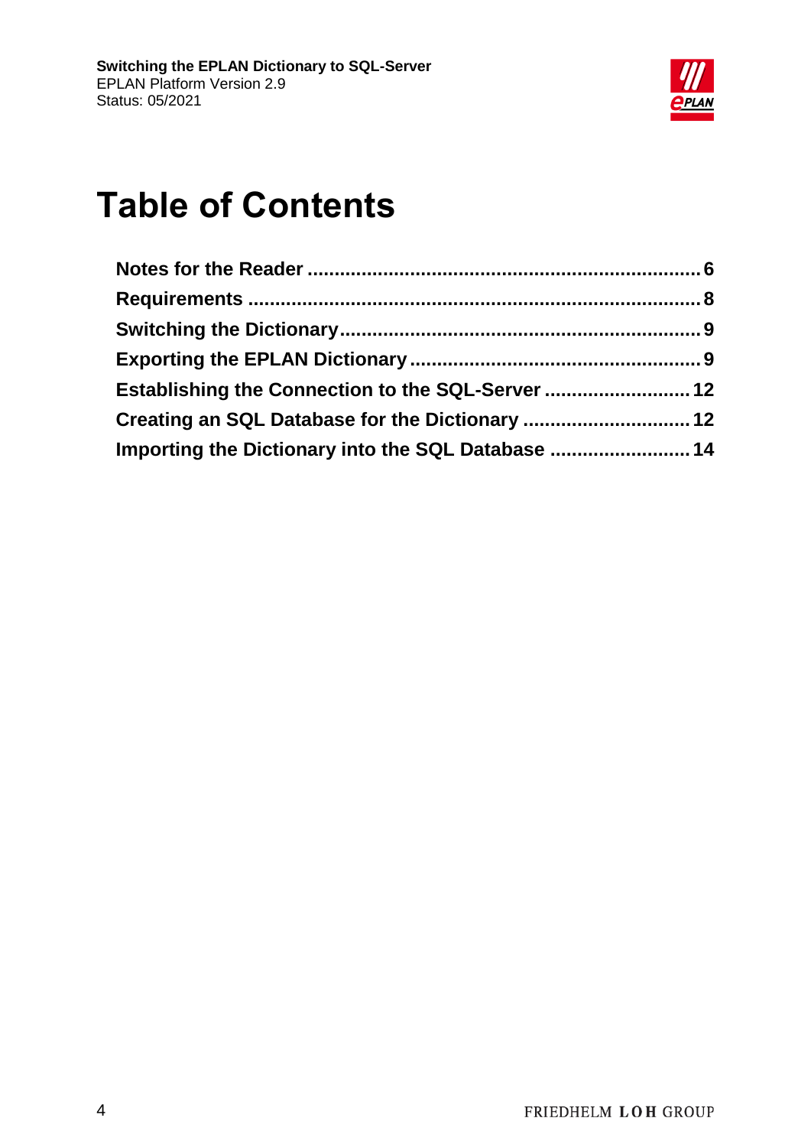

# **Table of Contents**

| Establishing the Connection to the SQL-Server  12  |  |
|----------------------------------------------------|--|
| Creating an SQL Database for the Dictionary  12    |  |
| Importing the Dictionary into the SQL Database  14 |  |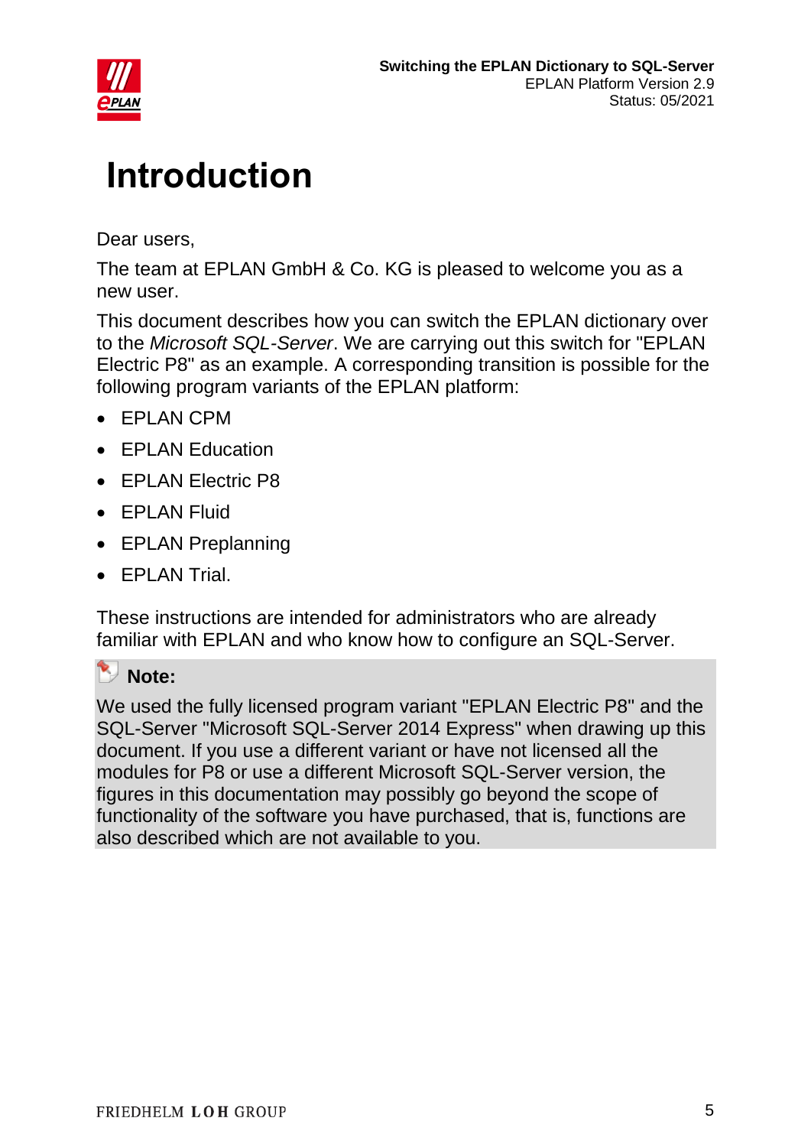

# **Introduction**

Dear users,

The team at EPLAN GmbH & Co. KG is pleased to welcome you as a new user.

This document describes how you can switch the EPLAN dictionary over to the *Microsoft SQL-Server*. We are carrying out this switch for "EPLAN Electric P8" as an example. A corresponding transition is possible for the following program variants of the EPLAN platform:

- EPLAN CPM
- EPLAN Education
- EPLAN Electric P8
- **FPI AN Fluid**
- EPLAN Preplanning
- EPLAN Trial.

These instructions are intended for administrators who are already familiar with EPLAN and who know how to configure an SQL-Server.

#### **Note:**

We used the fully licensed program variant "EPLAN Electric P8" and the SQL-Server "Microsoft SQL-Server 2014 Express" when drawing up this document. If you use a different variant or have not licensed all the modules for P8 or use a different Microsoft SQL-Server version, the figures in this documentation may possibly go beyond the scope of functionality of the software you have purchased, that is, functions are also described which are not available to you.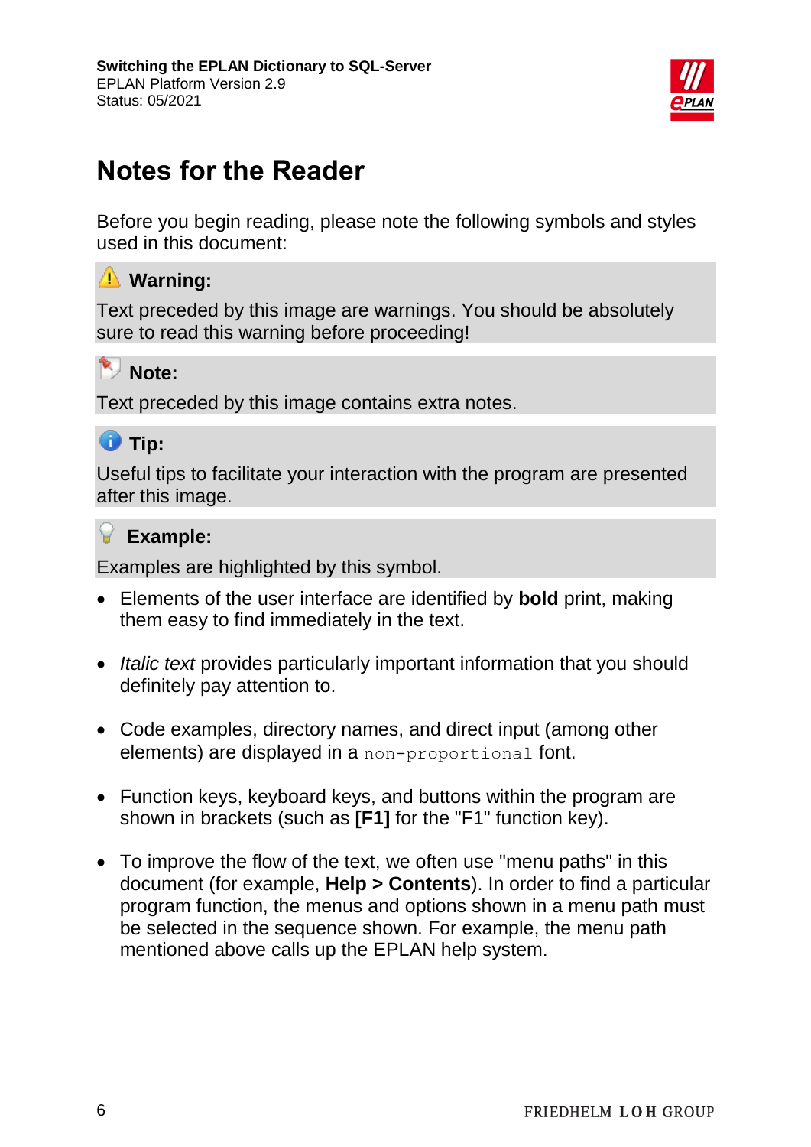

# <span id="page-5-0"></span>**Notes for the Reader**

Before you begin reading, please note the following symbols and styles used in this document:

#### **Warning:**

Text preceded by this image are warnings. You should be absolutely sure to read this warning before proceeding!

### **Note:**

Text preceded by this image contains extra notes.



Useful tips to facilitate your interaction with the program are presented after this image.

#### **Example:**

Examples are highlighted by this symbol.

- Elements of the user interface are identified by **bold** print, making them easy to find immediately in the text.
- *Italic text* provides particularly important information that you should definitely pay attention to.
- Code examples, directory names, and direct input (among other elements) are displayed in a non-proportional font.
- Function keys, keyboard keys, and buttons within the program are shown in brackets (such as **[F1]** for the "F1" function key).
- To improve the flow of the text, we often use "menu paths" in this document (for example, **Help > Contents**). In order to find a particular program function, the menus and options shown in a menu path must be selected in the sequence shown. For example, the menu path mentioned above calls up the EPLAN help system.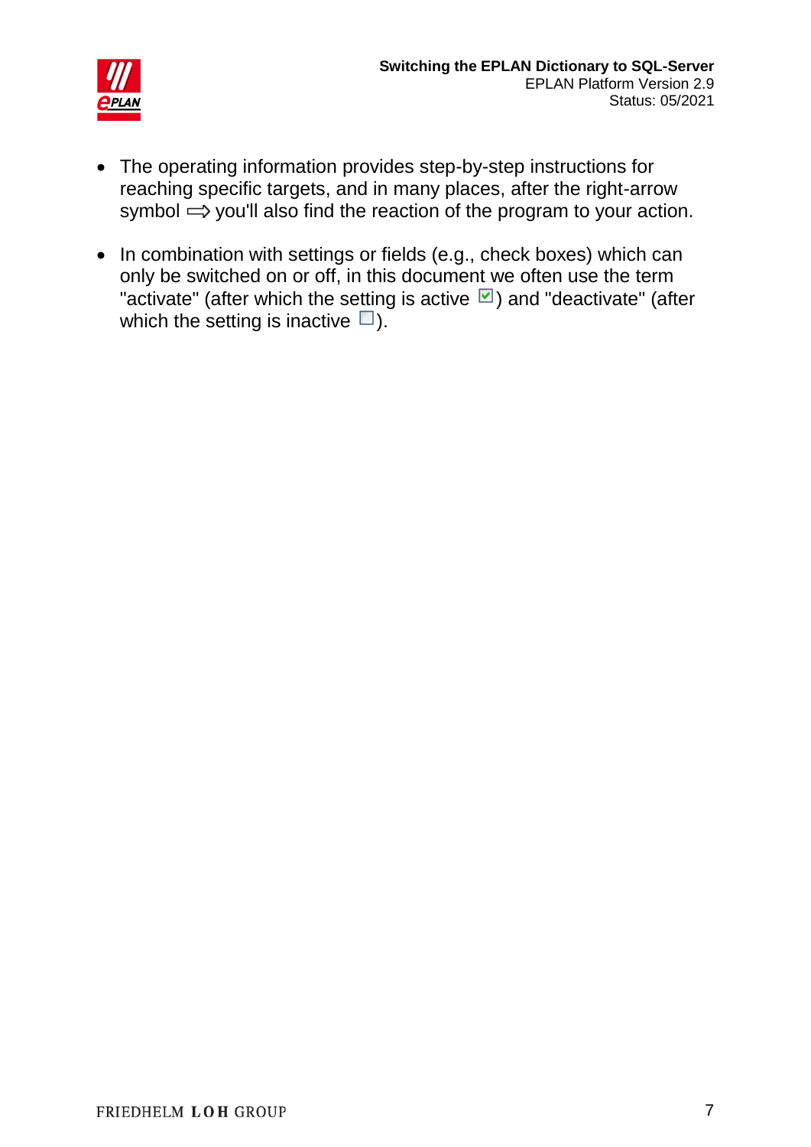

- The operating information provides step-by-step instructions for reaching specific targets, and in many places, after the right-arrow symbol  $\Rightarrow$  you'll also find the reaction of the program to your action.
- In combination with settings or fields (e.g., check boxes) which can only be switched on or off, in this document we often use the term "activate" (after which the setting is active  $\Box$ ) and "deactivate" (after which the setting is inactive  $\square$ ).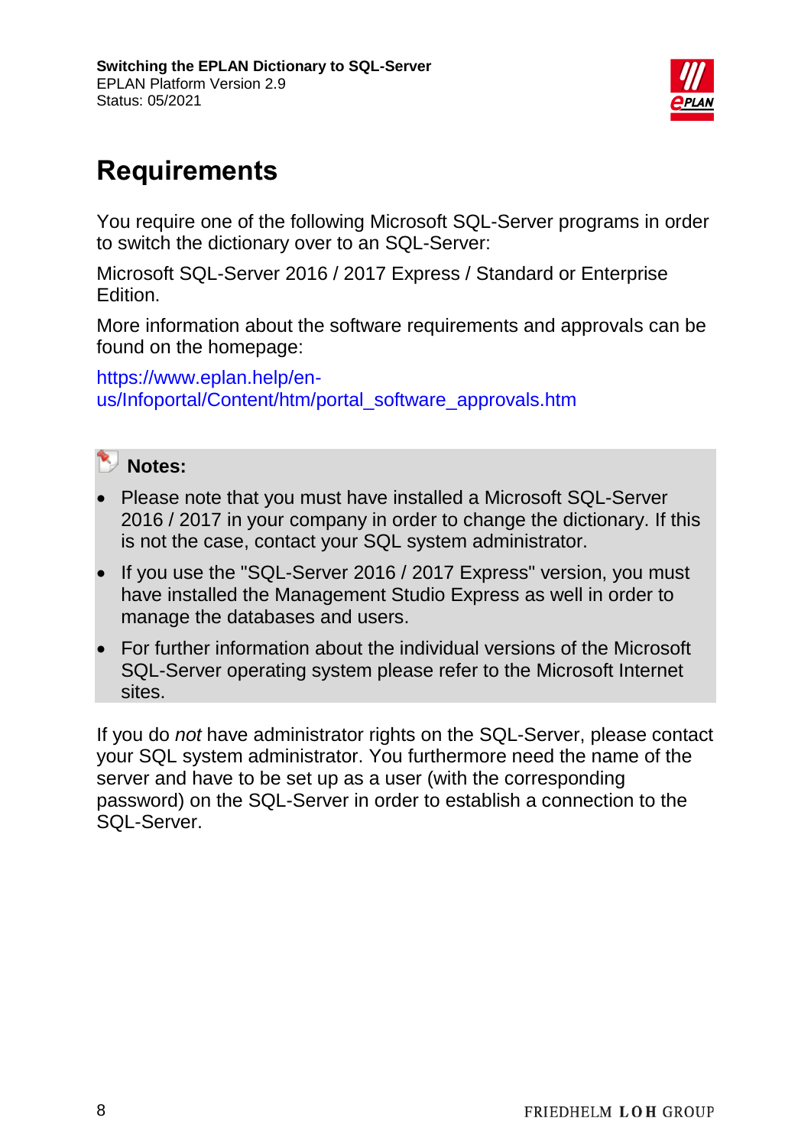

# <span id="page-7-0"></span>**Requirements**

You require one of the following Microsoft SQL-Server programs in order to switch the dictionary over to an SQL-Server:

Microsoft SQL-Server 2016 / 2017 Express / Standard or Enterprise Edition.

More information about the software requirements and approvals can be found on the homepage:

[https://www.eplan.help/en](https://www.eplan.help/en-us/Infoportal/Content/htm/portal_software_approvals.htm)[us/Infoportal/Content/htm/portal\\_software\\_approvals.htm](https://www.eplan.help/en-us/Infoportal/Content/htm/portal_software_approvals.htm)



- Please note that you must have installed a Microsoft SQL-Server 2016 / 2017 in your company in order to change the dictionary. If this is not the case, contact your SQL system administrator.
- If you use the "SQL-Server 2016 / 2017 Express" version, you must have installed the Management Studio Express as well in order to manage the databases and users.
- For further information about the individual versions of the Microsoft SQL-Server operating system please refer to the Microsoft Internet sites.

If you do *not* have administrator rights on the SQL-Server, please contact your SQL system administrator. You furthermore need the name of the server and have to be set up as a user (with the corresponding password) on the SQL-Server in order to establish a connection to the SQL-Server.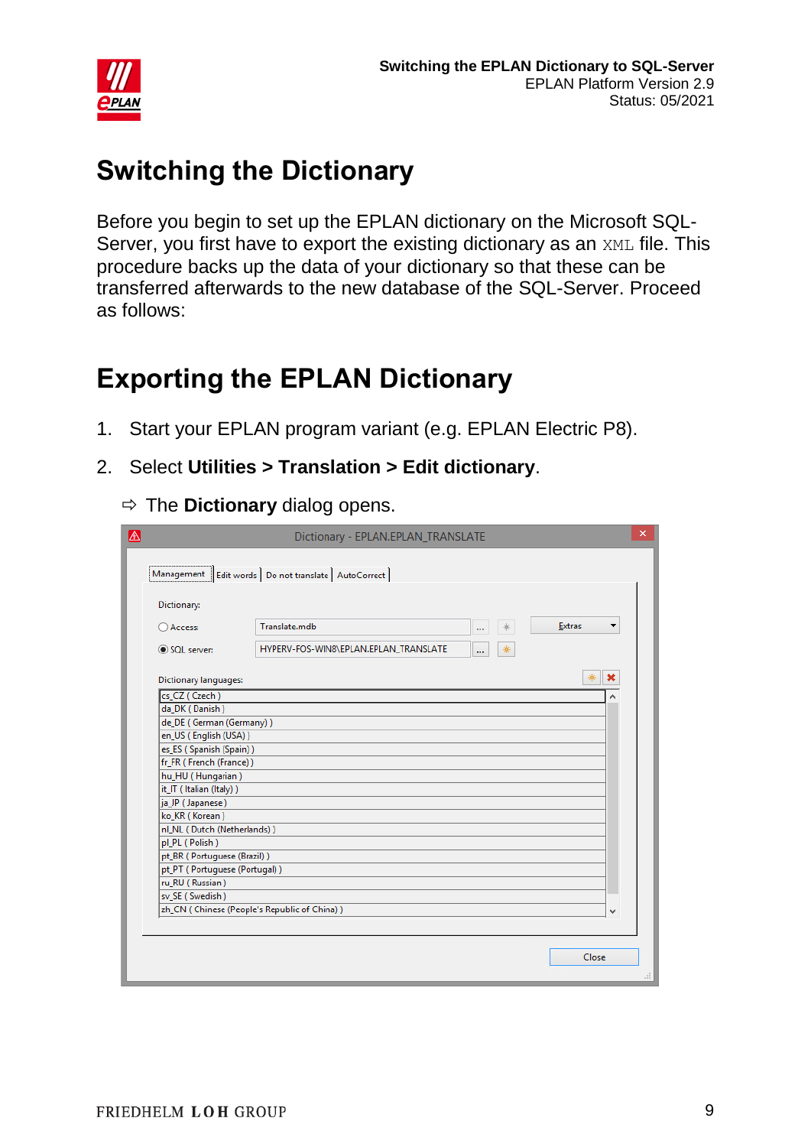

# <span id="page-8-0"></span>**Switching the Dictionary**

Before you begin to set up the EPLAN dictionary on the Microsoft SQL-Server, you first have to export the existing dictionary as an XML file. This procedure backs up the data of your dictionary so that these can be transferred afterwards to the new database of the SQL-Server. Proceed as follows:

# <span id="page-8-1"></span>**Exporting the EPLAN Dictionary**

- 1. Start your EPLAN program variant (e.g. EPLAN Electric P8).
- 2. Select **Utilities > Translation > Edit dictionary**.
	- $\Rightarrow$  The **Dictionary** dialog opens.

|                                                  | Dictionary - EPLAN.EPLAN_TRANSLATE                       |                    | × |  |  |
|--------------------------------------------------|----------------------------------------------------------|--------------------|---|--|--|
|                                                  | Management   Edit words   Do not translate   AutoCorrect |                    |   |  |  |
| Dictionary:                                      |                                                          |                    |   |  |  |
| ○ Access:                                        | Translate.mdb<br>*<br>$\cdots$                           | <b>Extras</b><br>▼ |   |  |  |
| SQL server:                                      | HYPERV-FOS-WIN8\EPLAN.EPLAN_TRANSLATE<br>*<br>           |                    |   |  |  |
| <b>Dictionary languages:</b>                     |                                                          | ☀<br>×             |   |  |  |
| cs CZ (Czech)                                    |                                                          |                    |   |  |  |
| da_DK (Danish)                                   |                                                          |                    |   |  |  |
| de_DE (German (Germany))                         |                                                          |                    |   |  |  |
| en_US (English (USA))                            |                                                          |                    |   |  |  |
| es_ES (Spanish (Spain))                          |                                                          |                    |   |  |  |
| fr_FR (French (France))                          |                                                          |                    |   |  |  |
| hu_HU (Hungarian)                                |                                                          |                    |   |  |  |
| it_IT (Italian (Italy))                          |                                                          |                    |   |  |  |
| ja_JP (Japanese)                                 |                                                          |                    |   |  |  |
| ko_KR (Korean)                                   |                                                          |                    |   |  |  |
| nl_NL (Dutch (Netherlands))                      |                                                          |                    |   |  |  |
| pl_PL (Polish)                                   |                                                          |                    |   |  |  |
| pt_BR (Portuguese (Brazil))                      |                                                          |                    |   |  |  |
| pt_PT (Portuguese (Portugal))<br>ru_RU (Russian) |                                                          |                    |   |  |  |
| sv_SE (Swedish)                                  |                                                          |                    |   |  |  |
| zh_CN (Chinese (People's Republic of China))     |                                                          | v                  |   |  |  |
|                                                  |                                                          |                    |   |  |  |
|                                                  |                                                          | Close              |   |  |  |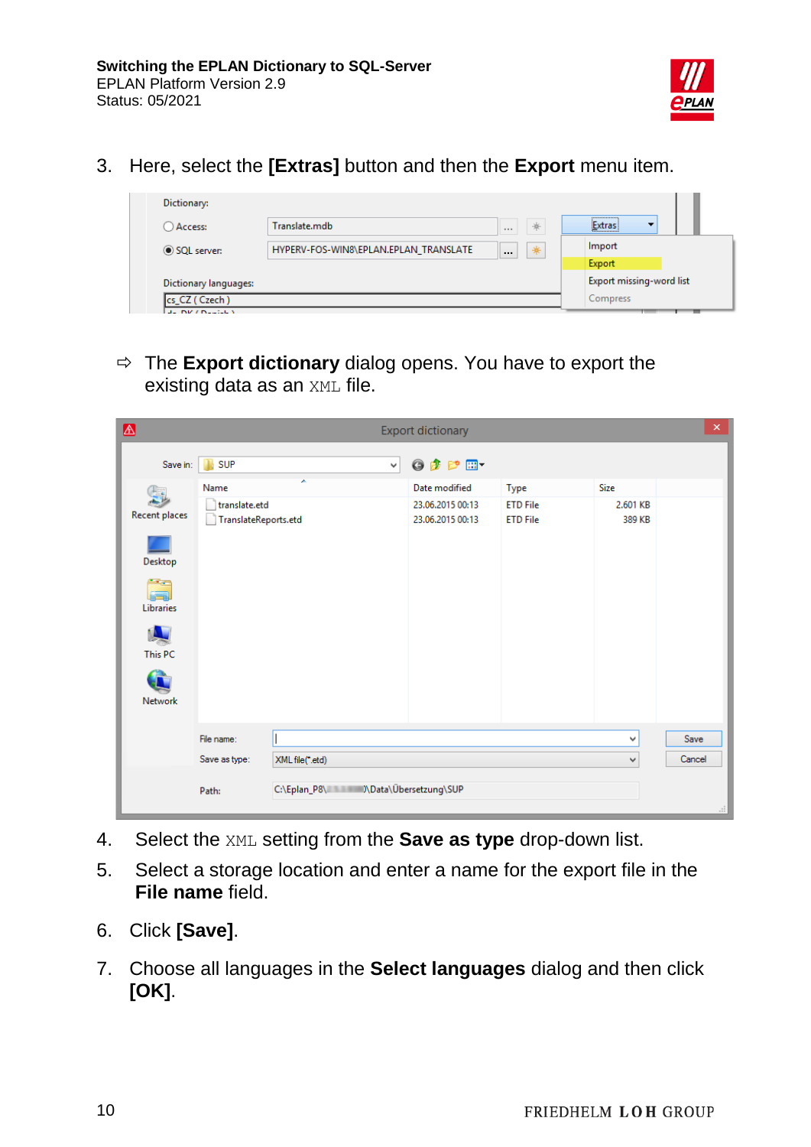

3. Here, select the **[Extras]** button and then the **Export** menu item.

| Dictionary:           |                                       |               |                                        |
|-----------------------|---------------------------------------|---------------|----------------------------------------|
| Access:               | Translate.mdb                         | *<br>1.1.1    | <br>Extras<br>$\overline{\phantom{a}}$ |
| SQL server:           | HYPERV-FOS-WIN8\EPLAN.EPLAN_TRANSLATE | *<br>$\cdots$ | Import                                 |
|                       |                                       |               | Export                                 |
| Dictionary languages: |                                       |               | Export missing-word list               |
| cs_CZ (Czech)         |                                       |               | Compress                               |
| de INV / Newton 1     |                                       |               |                                        |

 $\Rightarrow$  The **Export dictionary** dialog opens. You have to export the existing data as an XML file.

| $\color{red} \blacktriangle$ |                                       |                                     | <b>Export dictionary</b>             |                                    |                    | $\times$ |
|------------------------------|---------------------------------------|-------------------------------------|--------------------------------------|------------------------------------|--------------------|----------|
| Save in:                     | SUP                                   | ⊻∣                                  | 0 0 0 0 0                            |                                    |                    |          |
|                              | Name                                  |                                     | Date modified                        | Type                               | Size               |          |
| Recent places                | translate.etd<br>TranslateReports.etd |                                     | 23.06.2015 00:13<br>23.06.2015 00:13 | <b>ETD File</b><br><b>ETD File</b> | 2.601 KB<br>389 KB |          |
| Desktop                      |                                       |                                     |                                      |                                    |                    |          |
| <b>1950</b><br>Libraries     |                                       |                                     |                                      |                                    |                    |          |
| This PC                      |                                       |                                     |                                      |                                    |                    |          |
| <b>Network</b>               |                                       |                                     |                                      |                                    |                    |          |
|                              | File name:                            |                                     |                                      |                                    | ٧                  | Save     |
|                              | Save as type:                         | XML file(*.etd)                     |                                      |                                    | $\forall$          | Cancel   |
|                              | Path:                                 | C:\Eplan_P8\ /\Data\Übersetzung\SUP |                                      |                                    |                    |          |

- 4. Select the XML setting from the **Save as type** drop-down list.
- 5. Select a storage location and enter a name for the export file in the **File name** field.
- 6. Click **[Save]**.
- 7. Choose all languages in the **Select languages** dialog and then click **[OK]**.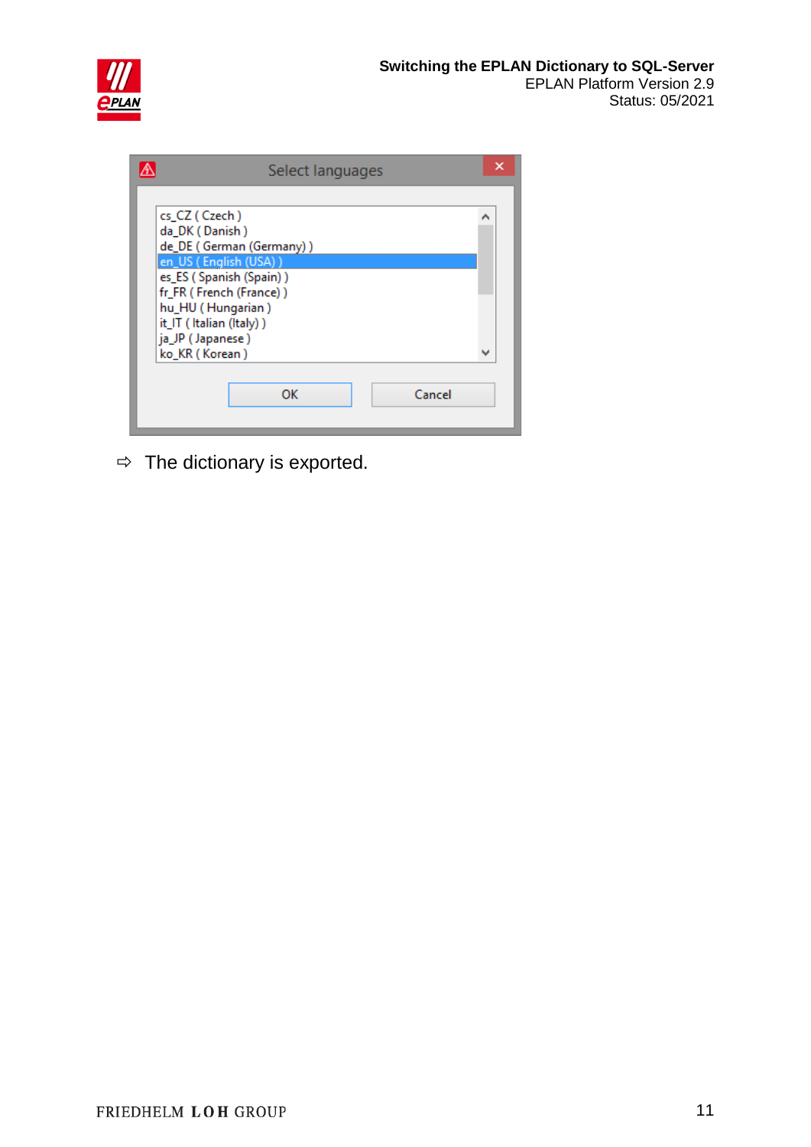

| Select languages         | x |
|--------------------------|---|
|                          |   |
| cs_CZ (Czech)            | ㅅ |
| da_DK (Danish)           |   |
| de_DE (German (Germany)) |   |
| en_US (English (USA))    |   |
| es_ES (Spanish (Spain))  |   |
| fr_FR (French (France))  |   |
| hu_HU (Hungarian)        |   |
| it_IT (Italian (Italy))  |   |
| ja_JP (Japanese)         |   |
| ko_KR (Korean)           | v |
|                          |   |
|                          |   |
| ОК<br>Cancel             |   |
|                          |   |

 $\Rightarrow$  The dictionary is exported.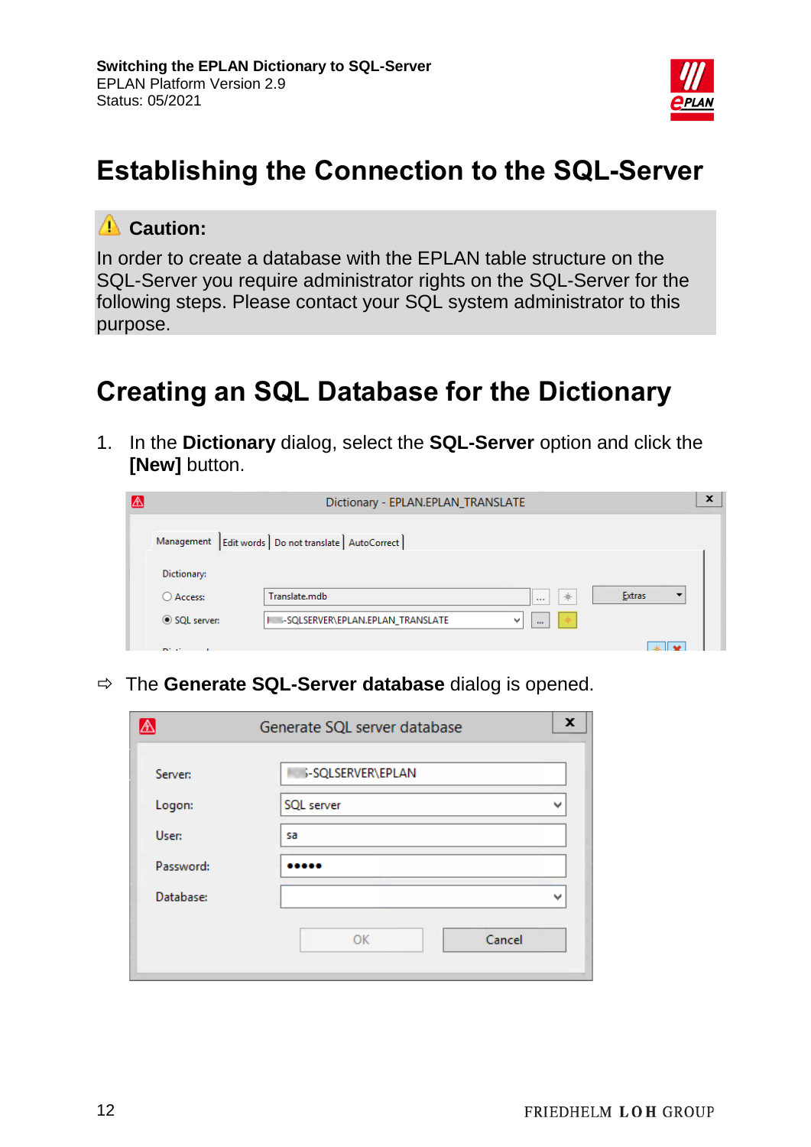

# <span id="page-11-0"></span>**Establishing the Connection to the SQL-Server**

#### **Caution:**

In order to create a database with the EPLAN table structure on the SQL-Server you require administrator rights on the SQL-Server for the following steps. Please contact your SQL system administrator to this purpose.

### <span id="page-11-1"></span>**Creating an SQL Database for the Dictionary**

1. In the **Dictionary** dialog, select the **SQL-Server** option and click the **[New]** button.



The **Generate SQL-Server database** dialog is opened.

|           | Generate SQL server database | x |
|-----------|------------------------------|---|
| Server:   | <b>S-SQLSERVER\EPLAN</b>     |   |
| Logon:    | SQL server                   | w |
| User:     | sa                           |   |
| Password: |                              |   |
| Database: |                              |   |
|           | Cancel<br>OK                 |   |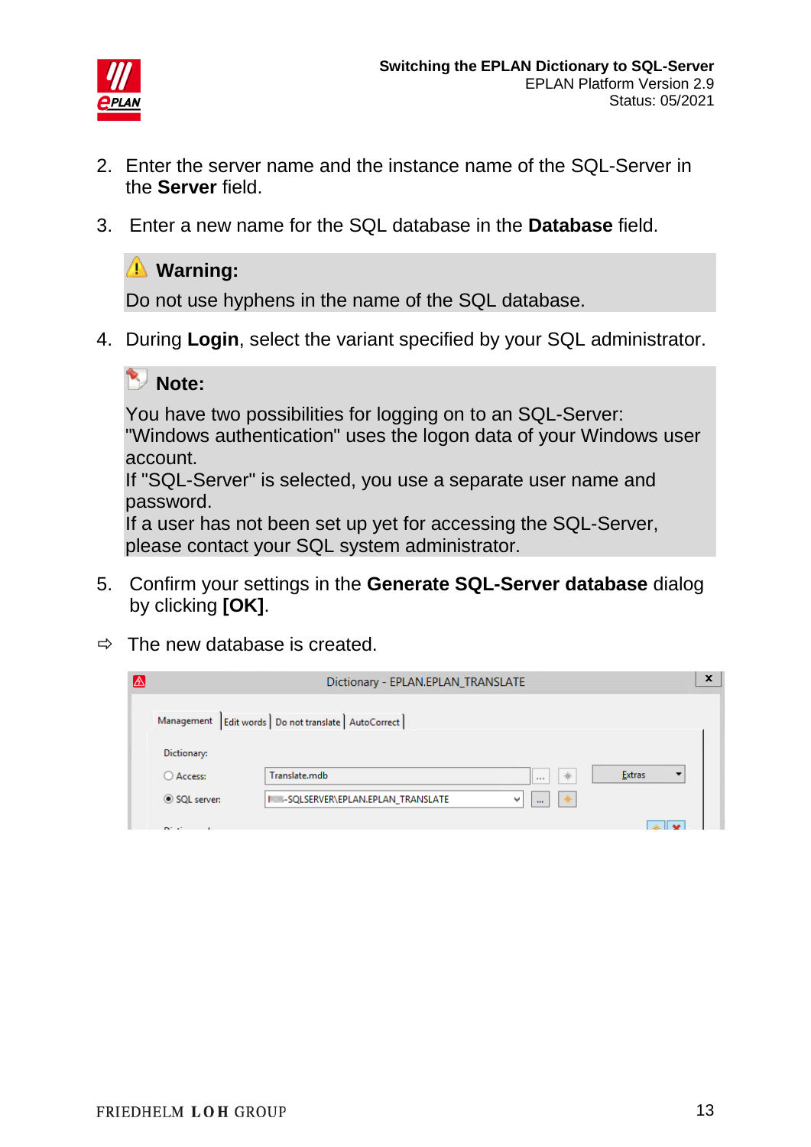

- 2. Enter the server name and the instance name of the SQL-Server in the **Server** field.
- 3. Enter a new name for the SQL database in the **Database** field.

#### **Warning:**

Do not use hyphens in the name of the SQL database.

4. During **Login**, select the variant specified by your SQL administrator.

#### **Note:**

You have two possibilities for logging on to an SQL-Server: "Windows authentication" uses the logon data of your Windows user account.

If "SQL-Server" is selected, you use a separate user name and password.

If a user has not been set up yet for accessing the SQL-Server, please contact your SQL system administrator.

- 5. Confirm your settings in the **Generate SQL-Server database** dialog by clicking **[OK]**.
- $\Rightarrow$  The new database is created.

|                | Dictionary - EPLAN.EPLAN_TRANSLATE                       |        | $\boldsymbol{\mathsf{x}}$ |
|----------------|----------------------------------------------------------|--------|---------------------------|
|                | Management   Edit words   Do not translate   AutoCorrect |        |                           |
| Dictionary:    |                                                          |        |                           |
| ○ Access:      | $*$<br>Translate.mdb<br>1.11                             | Extras |                           |
| SQL server:    | 兼<br>I SQLSERVER\EPLAN.EPLAN_TRANSLATE<br>v<br>$\cdots$  |        |                           |
| <b>DOM: NO</b> |                                                          |        |                           |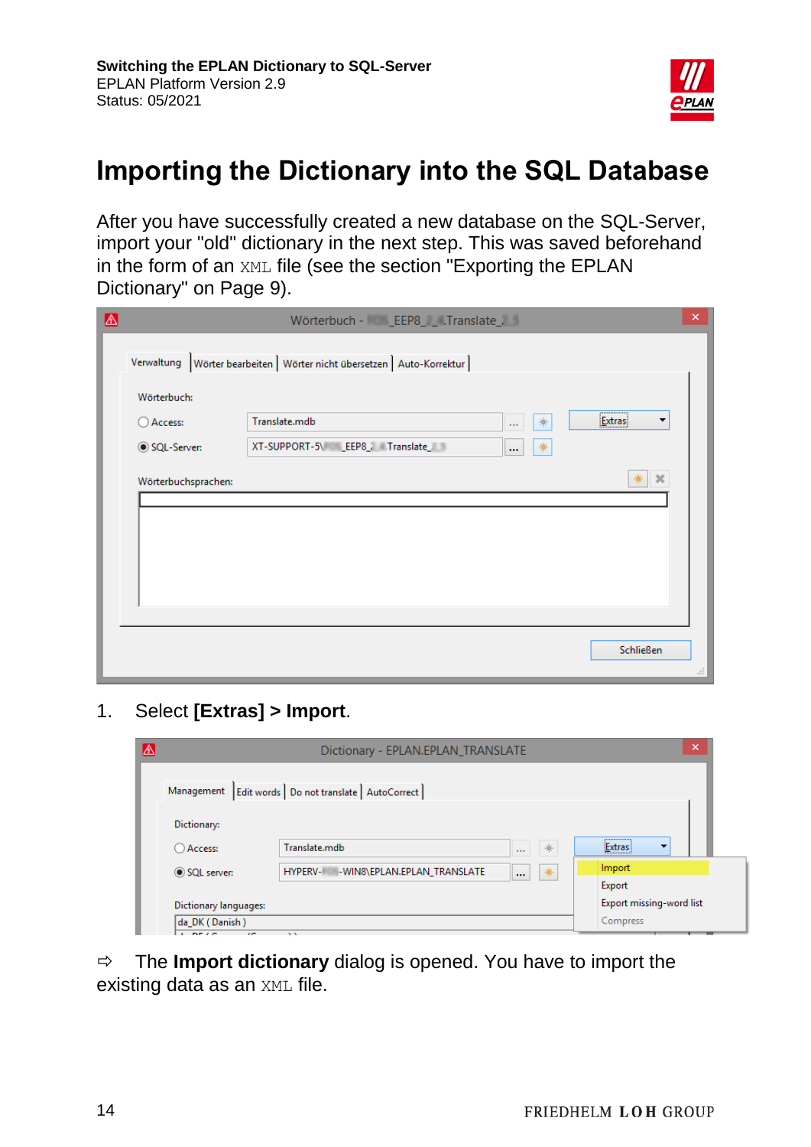

# <span id="page-13-0"></span>**Importing the Dictionary into the SQL Database**

After you have successfully created a new database on the SQL-Server, import your "old" dictionary in the next step. This was saved beforehand in the form of an XML file (see the section "Exporting the EPLAN Dictionary" on Page 9).

| $\triangle$ |                     | Wörterbuch - C __ EEP8_ _ .Translate_7                                  |               |                                 | ×  |
|-------------|---------------------|-------------------------------------------------------------------------|---------------|---------------------------------|----|
|             |                     | Verwaltung Wörter bearbeiten   Wörter nicht übersetzen   Auto-Korrektur |               |                                 |    |
|             | Wörterbuch:         |                                                                         |               |                                 |    |
|             | ○ Access:           | Translate.mdb                                                           | *<br>$\cdots$ | ,,,,,,,,,,,,,,,,<br>Extras<br>▼ |    |
|             | SQL-Server:         | XT-SUPPORT-5\ _EEP8_7 Translate_7                                       | *<br>$\cdots$ |                                 |    |
|             | Wörterbuchsprachen: |                                                                         |               | $3\%$<br>*                      |    |
|             |                     |                                                                         |               | Schließen                       | d. |

1. Select **[Extras] > Import**.



 The **Import dictionary** dialog is opened. You have to import the existing data as an XML file.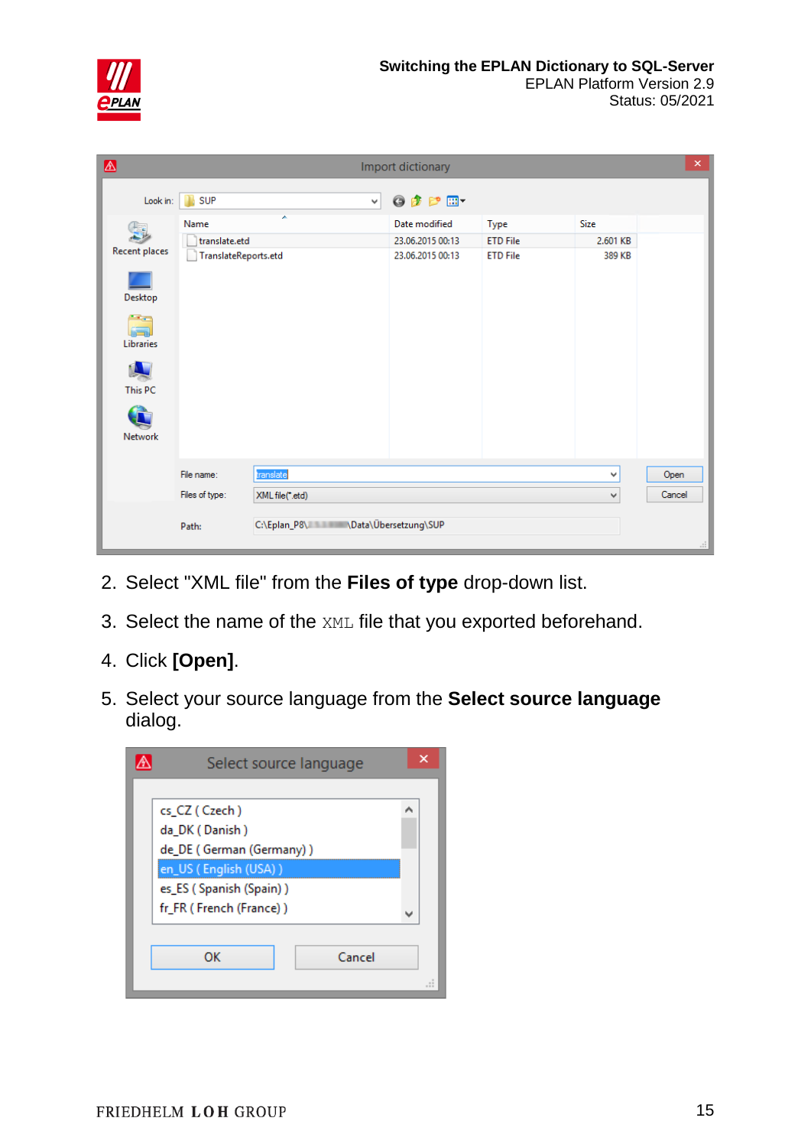

| $\spadesuit$                                   |                      |                                    | Import dictionary |                 |          | $\pmb{\times}$ |
|------------------------------------------------|----------------------|------------------------------------|-------------------|-----------------|----------|----------------|
| Look in:                                       | SUP                  | v                                  | ◎ 步 [2] 国*        |                 |          |                |
|                                                | Name                 | ٠                                  | Date modified     | Type            | Size     |                |
|                                                | translate.etd        |                                    | 23.06.2015 00:13  | <b>ETD File</b> | 2.601 KB |                |
| Recent places                                  | TranslateReports.etd |                                    | 23.06.2015 00:13  | <b>ETD File</b> | 389 KB   |                |
| Desktop                                        |                      |                                    |                   |                 |          |                |
| <b><i><u>Parts</u></i></b><br><b>Libraries</b> |                      |                                    |                   |                 |          |                |
| This PC                                        |                      |                                    |                   |                 |          |                |
| Network                                        |                      |                                    |                   |                 |          |                |
|                                                | File name:           | translate                          |                   |                 | ٧        | Open           |
|                                                |                      |                                    |                   |                 |          | Cancel         |
|                                                | Files of type:       | XML file(*.etd)                    |                   |                 | v        |                |
|                                                | Path:                | C:\Eplan_P8\ \Data\Übersetzung\SUP |                   |                 |          | $\mathcal{A}$  |

- 2. Select "XML file" from the **Files of type** drop-down list.
- 3. Select the name of the XML file that you exported beforehand.
- 4. Click **[Open]**.
- 5. Select your source language from the **Select source language** dialog.

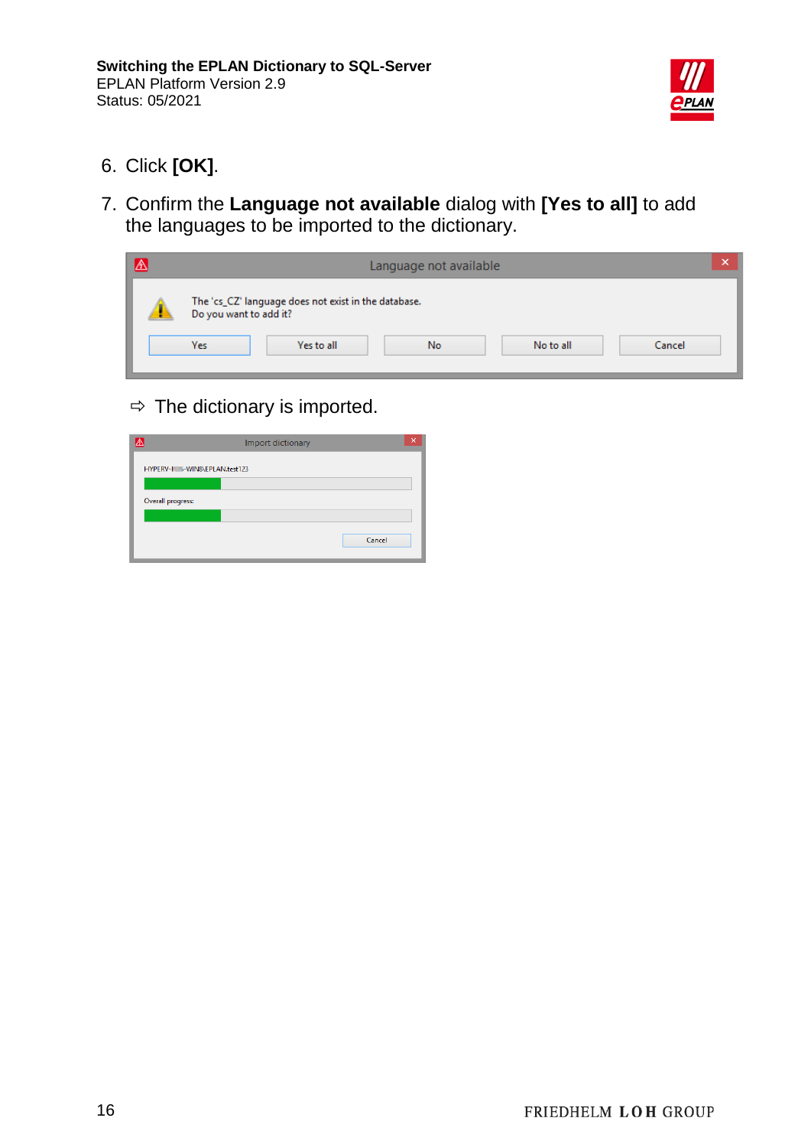

- 6. Click **[OK]**.
- 7. Confirm the **Language not available** dialog with **[Yes to all]** to add the languages to be imported to the dictionary.

|                               |                                                                    | Language not available |           | ×      |
|-------------------------------|--------------------------------------------------------------------|------------------------|-----------|--------|
| Do you want to add it?<br>Yes | The 'cs_CZ' language does not exist in the database.<br>Yes to all | No.                    | No to all | Cancel |

 $\Rightarrow$  The dictionary is imported.

| ☎ | Import dictionary             | $\boldsymbol{\mathsf{x}}$ |
|---|-------------------------------|---------------------------|
|   | HYPERV-I - WIN8\EPLAN.test123 |                           |
|   |                               |                           |
|   | Overall progress:             |                           |
|   |                               |                           |
|   | Cancel                        |                           |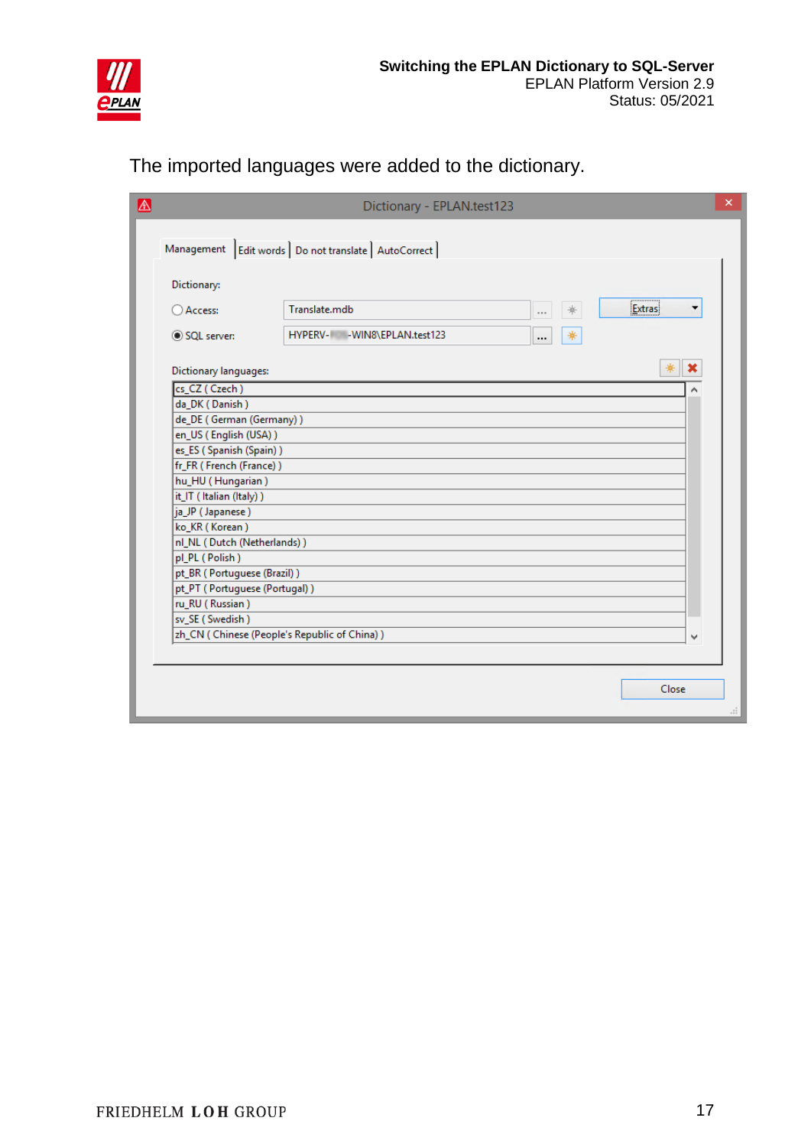

The imported languages were added to the dictionary.

| 困 |                                                              | Dictionary - EPLAN.test123                               |                    | $\pmb{\times}$ |
|---|--------------------------------------------------------------|----------------------------------------------------------|--------------------|----------------|
|   |                                                              | Management   Edit words   Do not translate   AutoCorrect |                    |                |
|   | Dictionary:                                                  |                                                          |                    |                |
|   | ○ Access:                                                    | Translate.mdb<br>*<br>$\cdots$                           | <b>Extras</b><br>▼ |                |
|   | SQL server:                                                  | *<br>HYPERV- - WIN8\EPLAN.test123<br>                    |                    |                |
|   | Dictionary languages:                                        |                                                          | ₩<br>×             |                |
|   | cs_CZ (Czech)                                                |                                                          |                    |                |
|   | da_DK (Danish)                                               |                                                          |                    |                |
|   | de_DE (German (Germany))                                     |                                                          |                    |                |
|   | en_US (English (USA))                                        |                                                          |                    |                |
|   | es_ES (Spanish (Spain))                                      |                                                          |                    |                |
|   | fr_FR (French (France))                                      |                                                          |                    |                |
|   | hu_HU (Hungarian)                                            |                                                          |                    |                |
|   | it_IT (Italian (Italy))                                      |                                                          |                    |                |
|   | ja_JP (Japanese)                                             |                                                          |                    |                |
|   | ko_KR (Korean)                                               |                                                          |                    |                |
|   | nl_NL (Dutch (Netherlands))                                  |                                                          |                    |                |
|   | pl_PL (Polish)                                               |                                                          |                    |                |
|   | pt_BR (Portuguese (Brazil))<br>pt_PT (Portuguese (Portugal)) |                                                          |                    |                |
|   | ru_RU (Russian)                                              |                                                          |                    |                |
|   | sv_SE (Swedish)                                              |                                                          |                    |                |
|   | zh_CN ( Chinese (People's Republic of China) )               |                                                          | v                  |                |
|   |                                                              |                                                          |                    |                |
|   |                                                              |                                                          |                    |                |
|   |                                                              |                                                          | Close              |                |
|   |                                                              |                                                          |                    | Æ              |
|   |                                                              |                                                          |                    |                |